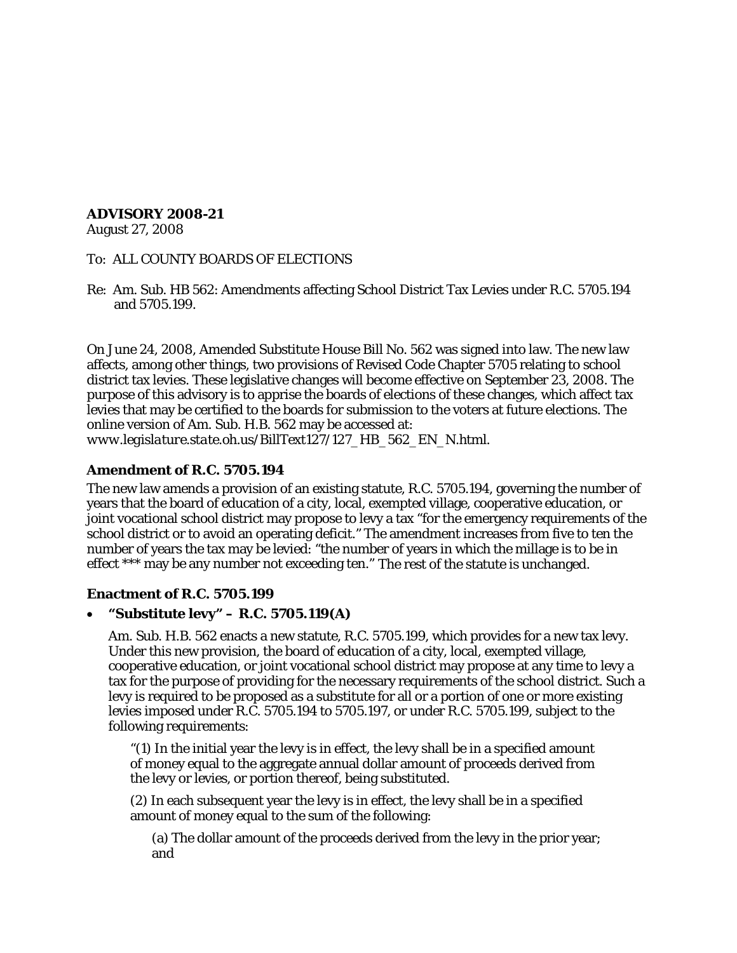# **ADVISORY 2008-21**

August 27, 2008

### To: ALL COUNTY BOARDS OF ELECTIONS

Re: Am. Sub. HB 562: Amendments affecting School District Tax Levies under R.C. 5705.194 and 5705.199.

On June 24, 2008, Amended Substitute House Bill No. 562 was signed into law. The new law affects, among other things, two provisions of Revised Code Chapter 5705 relating to school district tax levies. These legislative changes will become effective on September 23, 2008. The purpose of this advisory is to apprise the boards of elections of these changes, which affect tax levies that may be certified to the boards for submission to the voters at future elections. The online version of Am. Sub. H.B. 562 may be accessed at: *www.legislature.state.oh.us/BillText127/127\_HB\_562\_EN\_N.html*.

## **Amendment of R.C. 5705.194**

The new law amends a provision of an existing statute, R.C. 5705.194, governing the number of years that the board of education of a city, local, exempted village, cooperative education, or joint vocational school district may propose to levy a tax "for the emergency requirements of the school district or to avoid an operating deficit." The amendment increases from five to ten the number of years the tax may be levied: "the number of years in which the millage is to be in effect \*\*\* may be any number not exceeding ten." The rest of the statute is unchanged.

### **Enactment of R.C. 5705.199**

## • **"Substitute levy" – R.C. 5705.119(A)**

Am. Sub. H.B. 562 enacts a new statute, R.C. 5705.199, which provides for a new tax levy. Under this new provision, the board of education of a city, local, exempted village, cooperative education, or joint vocational school district may propose at any time to levy a tax for the purpose of providing for the necessary requirements of the school district. Such a levy is required to be proposed as a substitute for all or a portion of one or more existing levies imposed under R.C. 5705.194 to 5705.197, or under R.C. 5705.199, subject to the following requirements:

"(1) In the initial year the levy is in effect, the levy shall be in a specified amount of money equal to the aggregate annual dollar amount of proceeds derived from the levy or levies, or portion thereof, being substituted.

(2) In each subsequent year the levy is in effect, the levy shall be in a specified amount of money equal to the sum of the following:

(a) The dollar amount of the proceeds derived from the levy in the prior year; and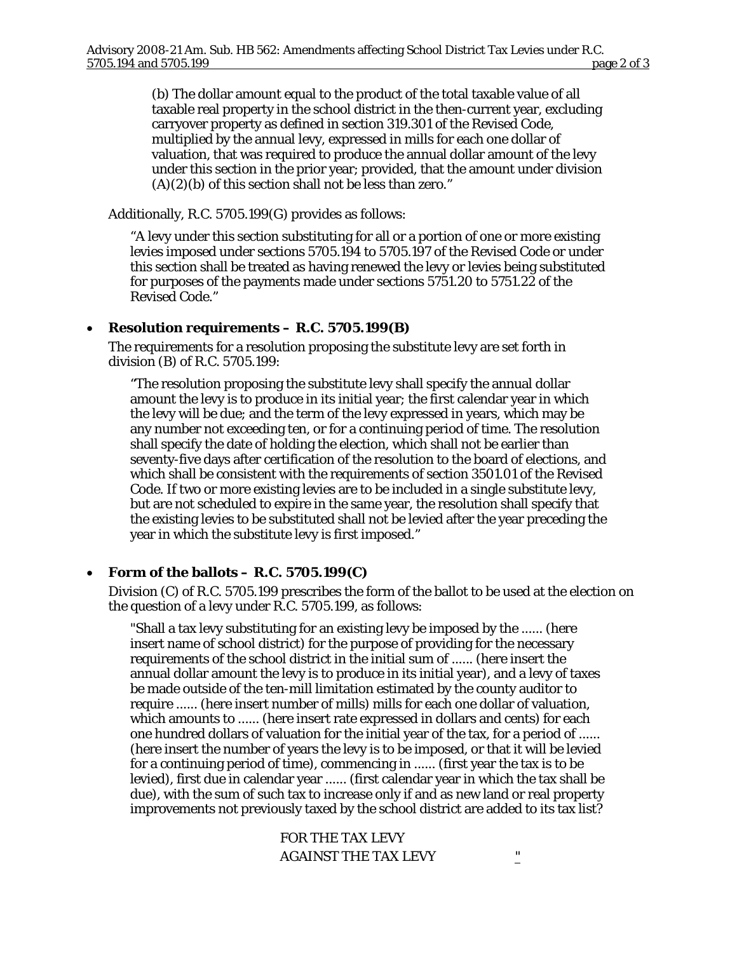(b) The dollar amount equal to the product of the total taxable value of all taxable real property in the school district in the then-current year, excluding carryover property as defined in section 319.301 of the Revised Code, multiplied by the annual levy, expressed in mills for each one dollar of valuation, that was required to produce the annual dollar amount of the levy under this section in the prior year; provided, that the amount under division  $(A)(2)(b)$  of this section shall not be less than zero."

Additionally, R.C. 5705.199(G) provides as follows:

"A levy under this section substituting for all or a portion of one or more existing levies imposed under sections 5705.194 to 5705.197 of the Revised Code or under this section shall be treated as having renewed the levy or levies being substituted for purposes of the payments made under sections 5751.20 to 5751.22 of the Revised Code."

#### • **Resolution requirements – R.C. 5705.199(B)**

The requirements for a resolution proposing the substitute levy are set forth in division (B) of R.C. 5705.199:

"The resolution proposing the substitute levy shall specify the annual dollar amount the levy is to produce in its initial year; the first calendar year in which the levy will be due; and the term of the levy expressed in years, which may be any number not exceeding ten, or for a continuing period of time. The resolution shall specify the date of holding the election, which shall not be earlier than seventy-five days after certification of the resolution to the board of elections, and which shall be consistent with the requirements of section 3501.01 of the Revised Code. If two or more existing levies are to be included in a single substitute levy, but are not scheduled to expire in the same year, the resolution shall specify that the existing levies to be substituted shall not be levied after the year preceding the year in which the substitute levy is first imposed."

### • **Form of the ballots – R.C. 5705.199(C)**

Division (C) of R.C. 5705.199 prescribes the form of the ballot to be used at the election on the question of a levy under R.C. 5705.199, as follows:

"Shall a tax levy substituting for an existing levy be imposed by the ...... (here insert name of school district) for the purpose of providing for the necessary requirements of the school district in the initial sum of ...... (here insert the annual dollar amount the levy is to produce in its initial year), and a levy of taxes be made outside of the ten-mill limitation estimated by the county auditor to require ...... (here insert number of mills) mills for each one dollar of valuation, which amounts to ...... (here insert rate expressed in dollars and cents) for each one hundred dollars of valuation for the initial year of the tax, for a period of ...... (here insert the number of years the levy is to be imposed, or that it will be levied for a continuing period of time), commencing in ...... (first year the tax is to be levied), first due in calendar year ...... (first calendar year in which the tax shall be due), with the sum of such tax to increase only if and as new land or real property improvements not previously taxed by the school district are added to its tax list?

> FOR THE TAX LEVY AGAINST THE TAX LEVY  $\frac{1}{2}$